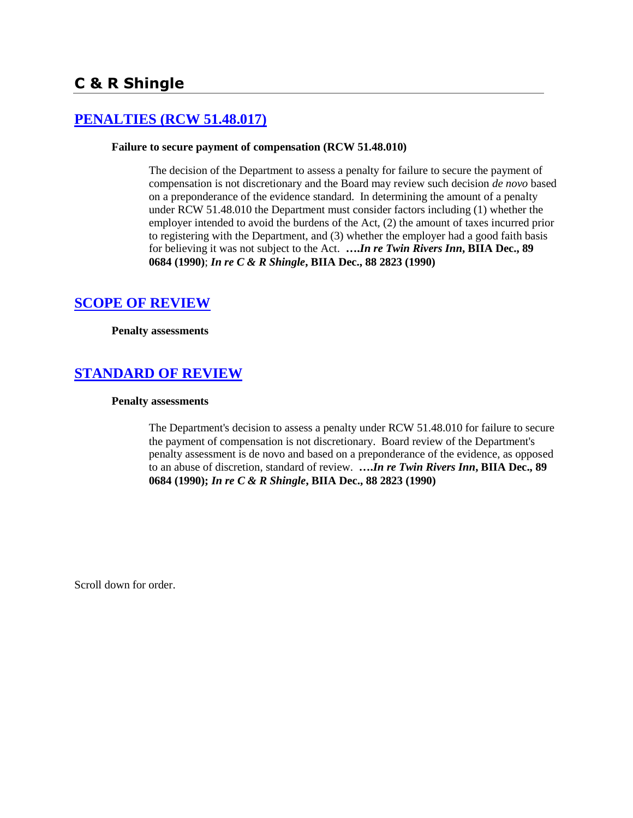# **[PENALTIES \(RCW 51.48.017\)](http://www.biia.wa.gov/SDSubjectIndex.html#PENALTIES)**

### **Failure to secure payment of compensation (RCW 51.48.010)**

The decision of the Department to assess a penalty for failure to secure the payment of compensation is not discretionary and the Board may review such decision *de novo* based on a preponderance of the evidence standard. In determining the amount of a penalty under RCW 51.48.010 the Department must consider factors including (1) whether the employer intended to avoid the burdens of the Act, (2) the amount of taxes incurred prior to registering with the Department, and (3) whether the employer had a good faith basis for believing it was not subject to the Act. **….***In re Twin Rivers Inn***, BIIA Dec., 89 0684 (1990)**; *In re C & R Shingle***, BIIA Dec., 88 2823 (1990)**

## **[SCOPE OF REVIEW](http://www.biia.wa.gov/SDSubjectIndex.html#SCOPE_OF_REVIEW)**

**Penalty assessments**

# **[STANDARD OF REVIEW](http://www.biia.wa.gov/SDSubjectIndex.html#STANDARD_OF_REVIEW)**

### **Penalty assessments**

The Department's decision to assess a penalty under RCW 51.48.010 for failure to secure the payment of compensation is not discretionary. Board review of the Department's penalty assessment is de novo and based on a preponderance of the evidence, as opposed to an abuse of discretion, standard of review. **….***In re Twin Rivers Inn***, BIIA Dec., 89 0684 (1990);** *In re C & R Shingle***, BIIA Dec., 88 2823 (1990)**

Scroll down for order.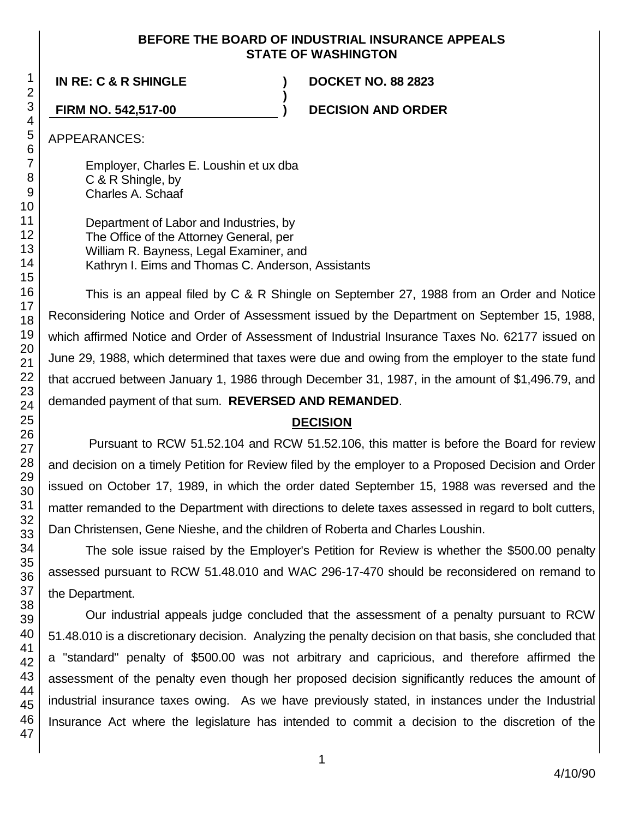### **BEFORE THE BOARD OF INDUSTRIAL INSURANCE APPEALS STATE OF WASHINGTON**

**)**

**IN RE: C & R SHINGLE ) DOCKET NO. 88 2823**

**FIRM NO. 542,517-00 ) DECISION AND ORDER**

APPEARANCES:

Employer, Charles E. Loushin et ux dba C & R Shingle, by Charles A. Schaaf

Department of Labor and Industries, by The Office of the Attorney General, per William R. Bayness, Legal Examiner, and Kathryn I. Eims and Thomas C. Anderson, Assistants

This is an appeal filed by C & R Shingle on September 27, 1988 from an Order and Notice Reconsidering Notice and Order of Assessment issued by the Department on September 15, 1988, which affirmed Notice and Order of Assessment of Industrial Insurance Taxes No. 62177 issued on June 29, 1988, which determined that taxes were due and owing from the employer to the state fund that accrued between January 1, 1986 through December 31, 1987, in the amount of \$1,496.79, and demanded payment of that sum. **REVERSED AND REMANDED**.

## **DECISION**

Pursuant to RCW 51.52.104 and RCW 51.52.106, this matter is before the Board for review and decision on a timely Petition for Review filed by the employer to a Proposed Decision and Order issued on October 17, 1989, in which the order dated September 15, 1988 was reversed and the matter remanded to the Department with directions to delete taxes assessed in regard to bolt cutters, Dan Christensen, Gene Nieshe, and the children of Roberta and Charles Loushin.

The sole issue raised by the Employer's Petition for Review is whether the \$500.00 penalty assessed pursuant to RCW 51.48.010 and WAC 296-17-470 should be reconsidered on remand to the Department.

Our industrial appeals judge concluded that the assessment of a penalty pursuant to RCW 51.48.010 is a discretionary decision. Analyzing the penalty decision on that basis, she concluded that a "standard" penalty of \$500.00 was not arbitrary and capricious, and therefore affirmed the assessment of the penalty even though her proposed decision significantly reduces the amount of industrial insurance taxes owing. As we have previously stated, in instances under the Industrial Insurance Act where the legislature has intended to commit a decision to the discretion of the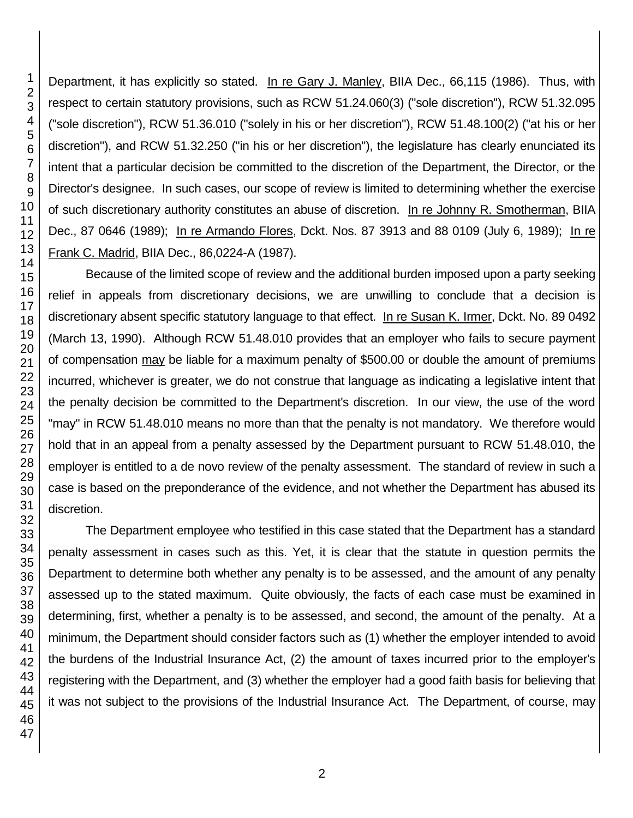Department, it has explicitly so stated. In re Gary J. Manley, BIIA Dec., 66,115 (1986). Thus, with respect to certain statutory provisions, such as RCW 51.24.060(3) ("sole discretion"), RCW 51.32.095 ("sole discretion"), RCW 51.36.010 ("solely in his or her discretion"), RCW 51.48.100(2) ("at his or her discretion"), and RCW 51.32.250 ("in his or her discretion"), the legislature has clearly enunciated its intent that a particular decision be committed to the discretion of the Department, the Director, or the Director's designee. In such cases, our scope of review is limited to determining whether the exercise of such discretionary authority constitutes an abuse of discretion. In re Johnny R. Smotherman, BIIA Dec., 87 0646 (1989); In re Armando Flores, Dckt. Nos. 87 3913 and 88 0109 (July 6, 1989); In re Frank C. Madrid, BIIA Dec., 86,0224-A (1987).

Because of the limited scope of review and the additional burden imposed upon a party seeking relief in appeals from discretionary decisions, we are unwilling to conclude that a decision is discretionary absent specific statutory language to that effect. In re Susan K. Irmer, Dckt. No. 89 0492 (March 13, 1990). Although RCW 51.48.010 provides that an employer who fails to secure payment of compensation may be liable for a maximum penalty of \$500.00 or double the amount of premiums incurred, whichever is greater, we do not construe that language as indicating a legislative intent that the penalty decision be committed to the Department's discretion. In our view, the use of the word "may" in RCW 51.48.010 means no more than that the penalty is not mandatory. We therefore would hold that in an appeal from a penalty assessed by the Department pursuant to RCW 51.48.010, the employer is entitled to a de novo review of the penalty assessment. The standard of review in such a case is based on the preponderance of the evidence, and not whether the Department has abused its discretion.

The Department employee who testified in this case stated that the Department has a standard penalty assessment in cases such as this. Yet, it is clear that the statute in question permits the Department to determine both whether any penalty is to be assessed, and the amount of any penalty assessed up to the stated maximum. Quite obviously, the facts of each case must be examined in determining, first, whether a penalty is to be assessed, and second, the amount of the penalty. At a minimum, the Department should consider factors such as (1) whether the employer intended to avoid the burdens of the Industrial Insurance Act, (2) the amount of taxes incurred prior to the employer's registering with the Department, and (3) whether the employer had a good faith basis for believing that it was not subject to the provisions of the Industrial Insurance Act. The Department, of course, may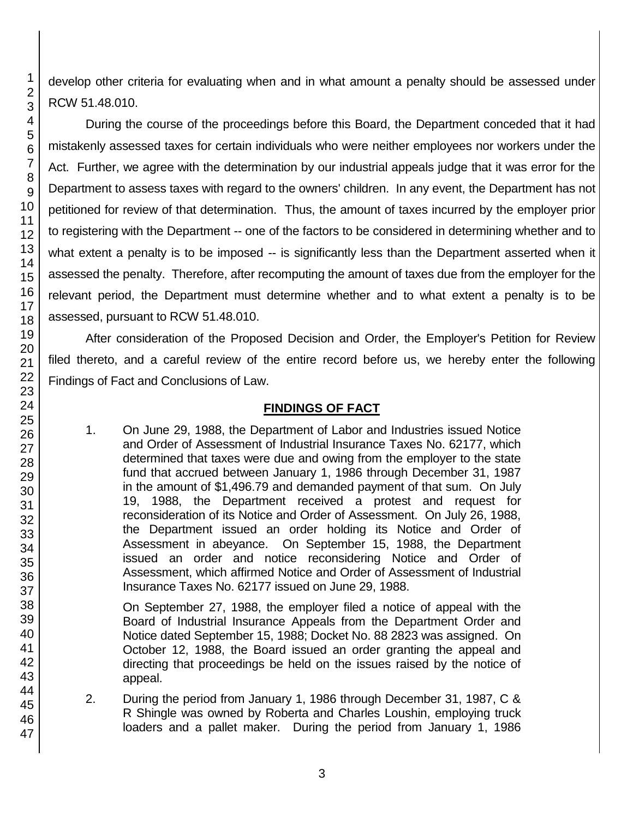develop other criteria for evaluating when and in what amount a penalty should be assessed under RCW 51.48.010.

During the course of the proceedings before this Board, the Department conceded that it had mistakenly assessed taxes for certain individuals who were neither employees nor workers under the Act. Further, we agree with the determination by our industrial appeals judge that it was error for the Department to assess taxes with regard to the owners' children. In any event, the Department has not petitioned for review of that determination. Thus, the amount of taxes incurred by the employer prior to registering with the Department -- one of the factors to be considered in determining whether and to what extent a penalty is to be imposed -- is significantly less than the Department asserted when it assessed the penalty. Therefore, after recomputing the amount of taxes due from the employer for the relevant period, the Department must determine whether and to what extent a penalty is to be assessed, pursuant to RCW 51.48.010.

After consideration of the Proposed Decision and Order, the Employer's Petition for Review filed thereto, and a careful review of the entire record before us, we hereby enter the following Findings of Fact and Conclusions of Law.

## **FINDINGS OF FACT**

1. On June 29, 1988, the Department of Labor and Industries issued Notice and Order of Assessment of Industrial Insurance Taxes No. 62177, which determined that taxes were due and owing from the employer to the state fund that accrued between January 1, 1986 through December 31, 1987 in the amount of \$1,496.79 and demanded payment of that sum. On July 19, 1988, the Department received a protest and request for reconsideration of its Notice and Order of Assessment. On July 26, 1988, the Department issued an order holding its Notice and Order of Assessment in abeyance. On September 15, 1988, the Department issued an order and notice reconsidering Notice and Order of Assessment, which affirmed Notice and Order of Assessment of Industrial Insurance Taxes No. 62177 issued on June 29, 1988.

On September 27, 1988, the employer filed a notice of appeal with the Board of Industrial Insurance Appeals from the Department Order and Notice dated September 15, 1988; Docket No. 88 2823 was assigned. On October 12, 1988, the Board issued an order granting the appeal and directing that proceedings be held on the issues raised by the notice of appeal.

2. During the period from January 1, 1986 through December 31, 1987, C & R Shingle was owned by Roberta and Charles Loushin, employing truck loaders and a pallet maker. During the period from January 1, 1986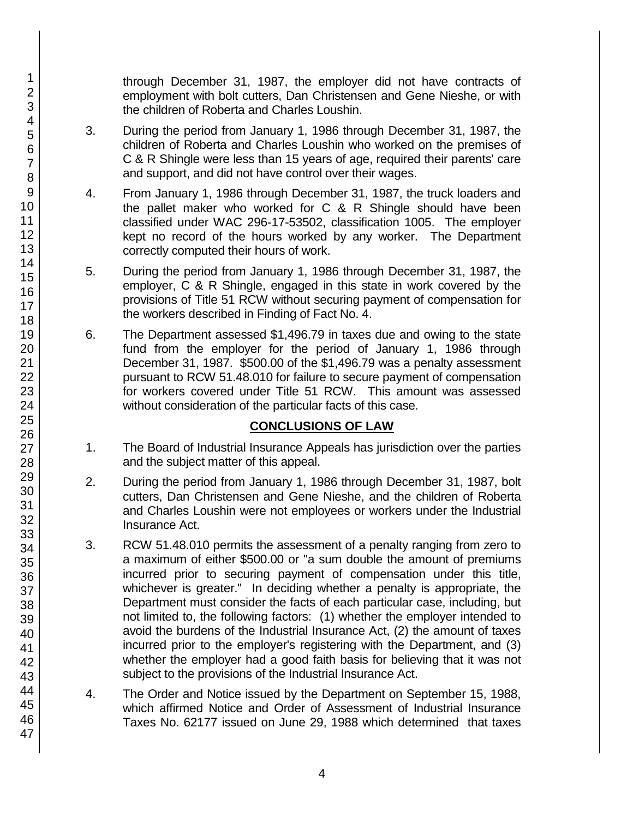through December 31, 1987, the employer did not have contracts of employment with bolt cutters, Dan Christensen and Gene Nieshe, or with the children of Roberta and Charles Loushin.

- 3. During the period from January 1, 1986 through December 31, 1987, the children of Roberta and Charles Loushin who worked on the premises of C & R Shingle were less than 15 years of age, required their parents' care and support, and did not have control over their wages.
- 4. From January 1, 1986 through December 31, 1987, the truck loaders and the pallet maker who worked for C & R Shingle should have been classified under WAC 296-17-53502, classification 1005. The employer kept no record of the hours worked by any worker. The Department correctly computed their hours of work.
- 5. During the period from January 1, 1986 through December 31, 1987, the employer, C & R Shingle, engaged in this state in work covered by the provisions of Title 51 RCW without securing payment of compensation for the workers described in Finding of Fact No. 4.
- 6. The Department assessed \$1,496.79 in taxes due and owing to the state fund from the employer for the period of January 1, 1986 through December 31, 1987. \$500.00 of the \$1,496.79 was a penalty assessment pursuant to RCW 51.48.010 for failure to secure payment of compensation for workers covered under Title 51 RCW. This amount was assessed without consideration of the particular facts of this case.

## **CONCLUSIONS OF LAW**

- 1. The Board of Industrial Insurance Appeals has jurisdiction over the parties and the subject matter of this appeal.
- 2. During the period from January 1, 1986 through December 31, 1987, bolt cutters, Dan Christensen and Gene Nieshe, and the children of Roberta and Charles Loushin were not employees or workers under the Industrial Insurance Act.
- 3. RCW 51.48.010 permits the assessment of a penalty ranging from zero to a maximum of either \$500.00 or "a sum double the amount of premiums incurred prior to securing payment of compensation under this title, whichever is greater." In deciding whether a penalty is appropriate, the Department must consider the facts of each particular case, including, but not limited to, the following factors: (1) whether the employer intended to avoid the burdens of the Industrial Insurance Act, (2) the amount of taxes incurred prior to the employer's registering with the Department, and (3) whether the employer had a good faith basis for believing that it was not subject to the provisions of the Industrial Insurance Act.
- 4. The Order and Notice issued by the Department on September 15, 1988, which affirmed Notice and Order of Assessment of Industrial Insurance Taxes No. 62177 issued on June 29, 1988 which determined that taxes